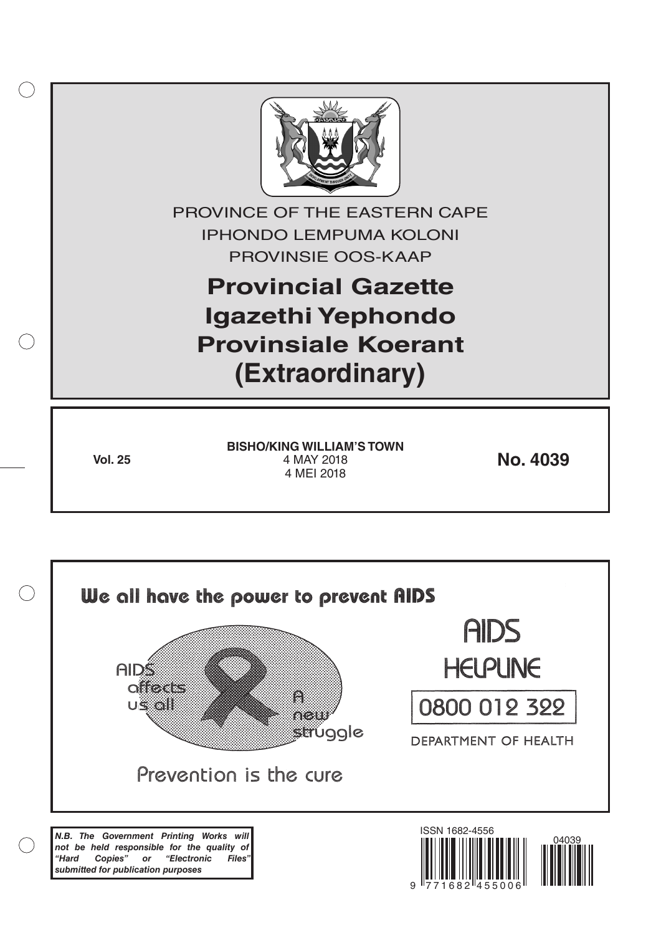

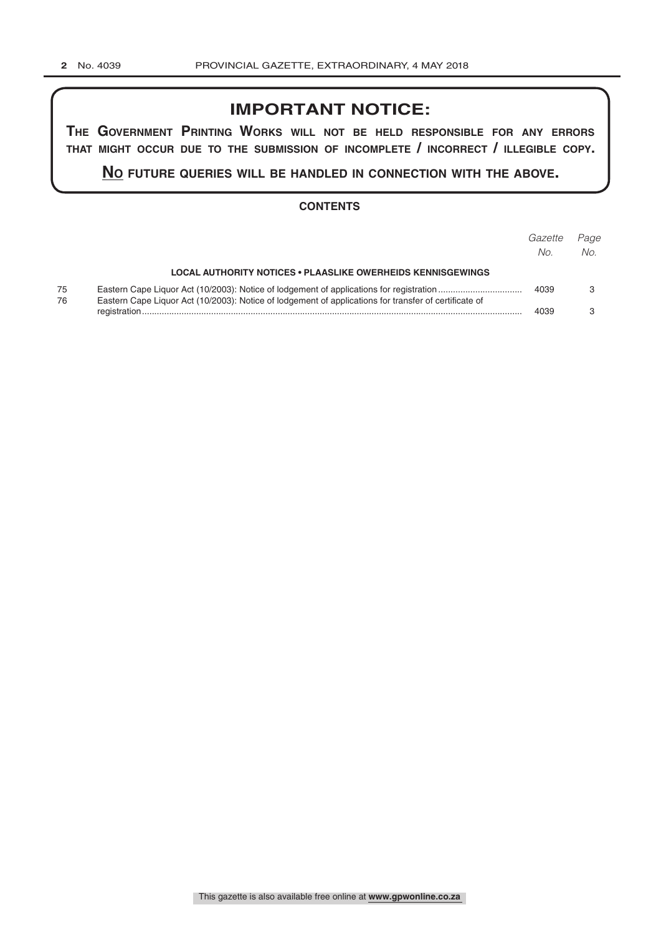# **IMPORTANT NOTICE:**

**The GovernmenT PrinTinG Works Will noT be held resPonsible for any errors ThaT miGhT occur due To The submission of incomPleTe / incorrecT / illeGible coPy.**

**no fuTure queries Will be handled in connecTion WiTh The above.**

## **CONTENTS**

|          |                                                                                                       | Gazette<br>No. | Page<br>No. |
|----------|-------------------------------------------------------------------------------------------------------|----------------|-------------|
|          | <b>LOCAL AUTHORITY NOTICES • PLAASLIKE OWERHEIDS KENNISGEWINGS</b>                                    |                |             |
| 75<br>76 | Eastern Cape Liquor Act (10/2003): Notice of lodgement of applications for transfer of certificate of | 4039           |             |
|          |                                                                                                       | 4039           |             |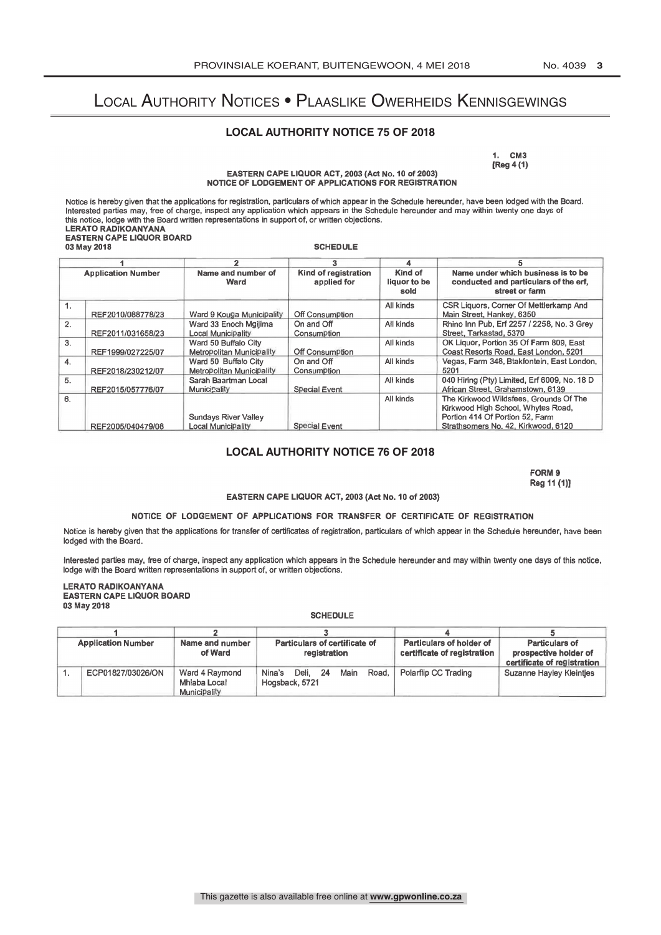# Local Authority Notices • Plaaslike Owerheids Kennisgewings

## **LOCAL AUTHORITY NOTICE 75 OF 2018**

1. CM3 [Reg 4 (1)

EASTERN CAPE LIQUOR ACT, 2003 (Act No. 10 of 2003) NOTICE OF LODGEMENT OF APPLICATIONS FOR REGISTRATION

Notice is hereby given that the applications for registration, particulars of which appear in the Schedule hereunder, have been lodged with the Board.<br>Interested parties may, free of charge, inspect any application which a this notice, lodge with the Board written representations in support of, or written objections. LERATO RADIKOANYANA EASTERN CAPE LIQUOR BOARD 03 May 2018 SCHEDULE

| <b>Application Number</b> |                   |                                                   |                                     |                                 |                                                                                                                 |  |
|---------------------------|-------------------|---------------------------------------------------|-------------------------------------|---------------------------------|-----------------------------------------------------------------------------------------------------------------|--|
|                           |                   | Name and number of<br>Ward                        | Kind of registration<br>applied for | Kind of<br>liguor to be<br>sold | Name under which business is to be<br>conducted and particulars of the erf.<br>street or farm                   |  |
|                           | REF2010/088778/23 | Ward 9 Kouga Municipality                         | Off Consumption                     | All kinds                       | CSR Liquors, Corner Of Mettlerkamp And<br>Main Street, Hankey, 6350                                             |  |
| 2.                        | REF2011/031658/23 | Ward 33 Enoch Mgilima<br>Local Municipality       | On and Off<br>Consumption           | All kinds                       | Rhino Inn Pub, Erf 2257 / 2258, No. 3 Grey<br>Street, Tarkastad, 5370                                           |  |
| 3.                        | REF1999/027225/07 | Ward 50 Buffalo City<br>Metropolitan Municipality | Off Consumption                     | All kinds                       | OK Liquor, Portion 35 Of Farm 809, East<br>Coast Resorts Road, East London, 5201                                |  |
| 4.                        | REF2018/230212/07 | Ward 50 Buffalo City<br>Metropolitan Municipality | On and Off<br>Consumption           | All kinds                       | Vegas, Farm 348, Btakfontein, East London.<br>5201                                                              |  |
| 5.                        | REF2015/057776/07 | Sarah Baartman Local<br>Municipality              | Special Event                       | All kinds                       | 040 Hiring (Pty) Limited, Erf 6009, No. 18 D<br>African Street, Grahamstown, 6139                               |  |
| 6.                        |                   | Sundays River Valley                              |                                     | All kinds                       | The Kirkwood Wildsfees, Grounds Of The<br>Kirkwood High School, Whytes Road,<br>Portion 414 Of Portion 52, Farm |  |
|                           | REF2005/040479/08 | Local Municipality                                | Special Event                       |                                 | Strathsomers No. 42, Kirkwood, 6120                                                                             |  |

### **LOCAL AUTHORITY NOTICE 76 OF 2018**

FORM 9 Reg 11 (1)]

#### EASTERN CAPE LIQUOR ACT, 2003 (Act No. 10 of 2003)

### NOTICE OF LODGEMENT OF APPLICATIONS FOR TRANSFER OF CERTIFICATE OF REGISTRATION

Notice is hereby given that the applications for transfer of certificates of registration, particulars of which appear in the Schedule hereunder, have been lodged with the Board.

Interested parties may, free of charge, inspect any application which appears in the Schedule hereunder and may within twenty one days of this notice, lodge with the Board written representations in support of, or written objections.

LERATO RADIKOANYANA EASTERN CAPE LIQUOR BOARD 03 May 2018

#### **SCHEDULE**

| <b>Application Number</b> |                   | Name and number<br>of Ward                     | Particulars of certificate of<br>registration             | Particulars of holder of<br>certificate of registration | Particulars of<br>prospective holder of<br>certificate of registration |
|---------------------------|-------------------|------------------------------------------------|-----------------------------------------------------------|---------------------------------------------------------|------------------------------------------------------------------------|
|                           | ECP01827/03026/ON | Ward 4 Raymond<br>Mhiaba Local<br>Municipality | Nina's<br>Deli.<br>-24<br>Main<br>Road.<br>Hogsback, 5721 | Polarflip CC Trading                                    | Suzanne Hayley Kleintjes                                               |